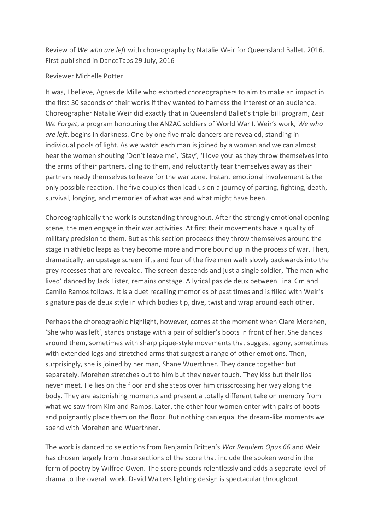Review of *We who are left* with choreography by Natalie Weir for Queensland Ballet. 2016. First published in DanceTabs 29 July, 2016

## Reviewer Michelle Potter

It was, I believe, Agnes de Mille who exhorted choreographers to aim to make an impact in the first 30 seconds of their works if they wanted to harness the interest of an audience. Choreographer Natalie Weir did exactly that in Queensland Ballet's triple bill program, *Lest We Forget*, a program honouring the ANZAC soldiers of World War I. Weir's work, *We who are left*, begins in darkness. One by one five male dancers are revealed, standing in individual pools of light. As we watch each man is joined by a woman and we can almost hear the women shouting 'Don't leave me', 'Stay', 'I love you' as they throw themselves into the arms of their partners, cling to them, and reluctantly tear themselves away as their partners ready themselves to leave for the war zone. Instant emotional involvement is the only possible reaction. The five couples then lead us on a journey of parting, fighting, death, survival, longing, and memories of what was and what might have been.

Choreographically the work is outstanding throughout. After the strongly emotional opening scene, the men engage in their war activities. At first their movements have a quality of military precision to them. But as this section proceeds they throw themselves around the stage in athletic leaps as they become more and more bound up in the process of war. Then, dramatically, an upstage screen lifts and four of the five men walk slowly backwards into the grey recesses that are revealed. The screen descends and just a single soldier, 'The man who lived' danced by Jack Lister, remains onstage. A lyrical pas de deux between Lina Kim and Camilo Ramos follows. It is a duet recalling memories of past times and is filled with Weir's signature pas de deux style in which bodies tip, dive, twist and wrap around each other.

Perhaps the choreographic highlight, however, comes at the moment when Clare Morehen, 'She who was left', stands onstage with a pair of soldier's boots in front of her. She dances around them, sometimes with sharp pique-style movements that suggest agony, sometimes with extended legs and stretched arms that suggest a range of other emotions. Then, surprisingly, she is joined by her man, Shane Wuerthner. They dance together but separately. Morehen stretches out to him but they never touch. They kiss but their lips never meet. He lies on the floor and she steps over him crisscrossing her way along the body. They are astonishing moments and present a totally different take on memory from what we saw from Kim and Ramos. Later, the other four women enter with pairs of boots and poignantly place them on the floor. But nothing can equal the dream-like moments we spend with Morehen and Wuerthner.

The work is danced to selections from Benjamin Britten's *War Requiem Opus 66* and Weir has chosen largely from those sections of the score that include the spoken word in the form of poetry by Wilfred Owen. The score pounds relentlessly and adds a separate level of drama to the overall work. David Walters lighting design is spectacular throughout